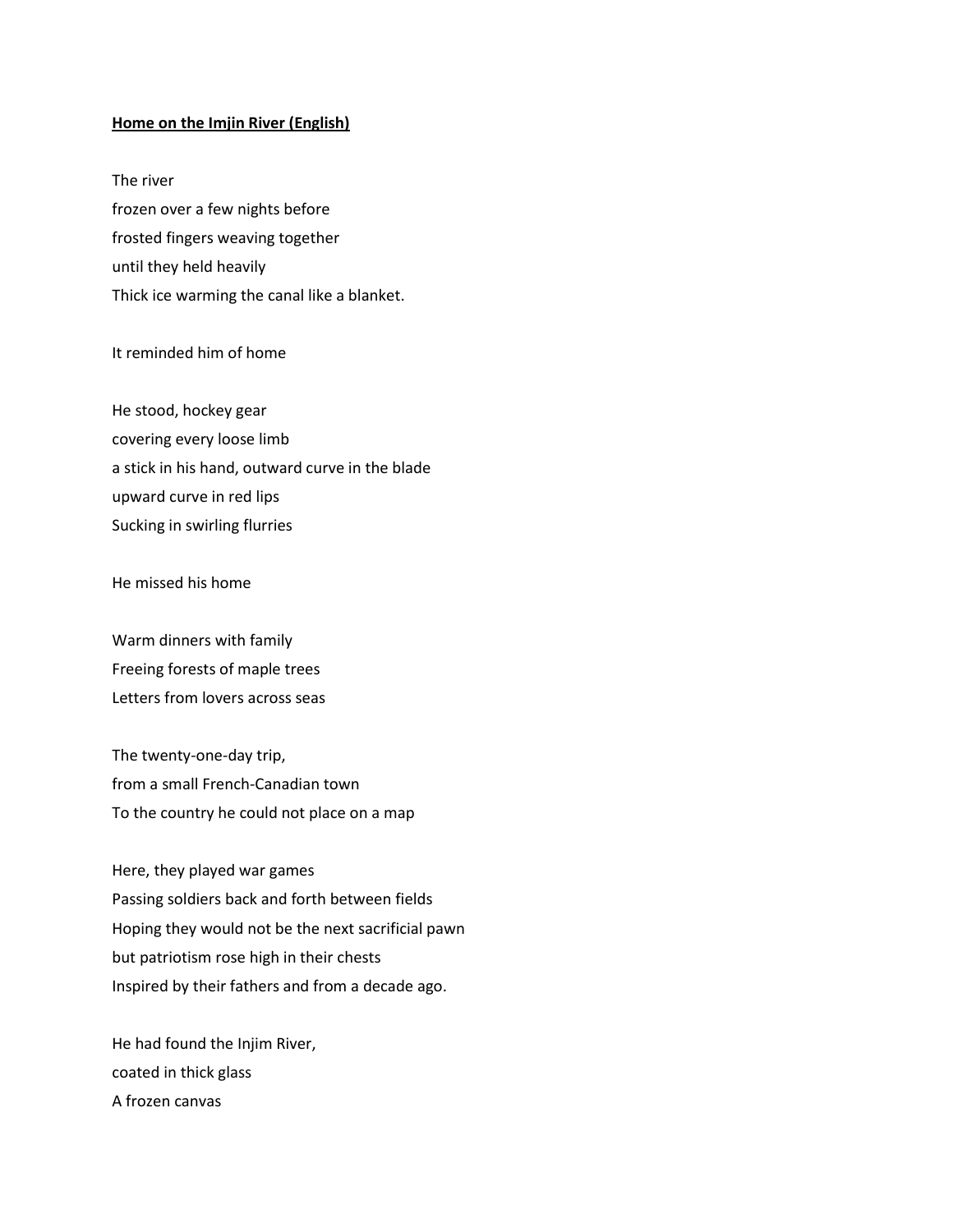## **Home on the Imjin River (English)**

The river frozen over a few nights before frosted fingers weaving together until they held heavily Thick ice warming the canal like a blanket.

## It reminded him of home

He stood, hockey gear covering every loose limb a stick in his hand, outward curve in the blade upward curve in red lips Sucking in swirling flurries

He missed his home

Warm dinners with family Freeing forests of maple trees Letters from lovers across seas

The twenty-one-day trip, from a small French-Canadian town To the country he could not place on a map

Here, they played war games Passing soldiers back and forth between fields Hoping they would not be the next sacrificial pawn but patriotism rose high in their chests Inspired by their fathers and from a decade ago.

He had found the Injim River, coated in thick glass A frozen canvas